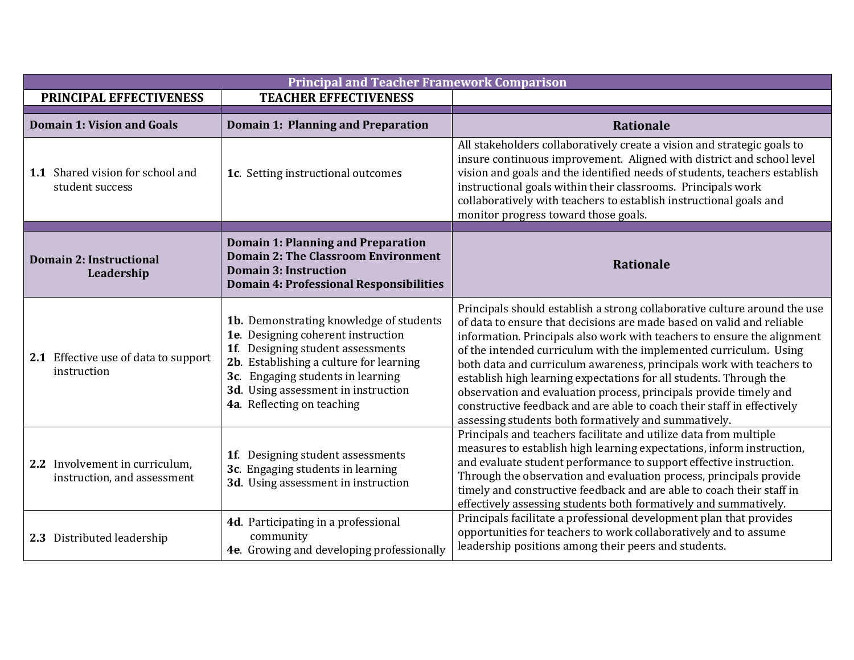| <b>Principal and Teacher Framework Comparison</b>             |                                                                                                                                                                                                                                                                         |                                                                                                                                                                                                                                                                                                                                                                                                                                                                                                                                                                                                                                                         |  |  |
|---------------------------------------------------------------|-------------------------------------------------------------------------------------------------------------------------------------------------------------------------------------------------------------------------------------------------------------------------|---------------------------------------------------------------------------------------------------------------------------------------------------------------------------------------------------------------------------------------------------------------------------------------------------------------------------------------------------------------------------------------------------------------------------------------------------------------------------------------------------------------------------------------------------------------------------------------------------------------------------------------------------------|--|--|
| PRINCIPAL EFFECTIVENESS                                       | <b>TEACHER EFFECTIVENESS</b>                                                                                                                                                                                                                                            |                                                                                                                                                                                                                                                                                                                                                                                                                                                                                                                                                                                                                                                         |  |  |
| <b>Domain 1: Vision and Goals</b>                             | Domain 1: Planning and Preparation                                                                                                                                                                                                                                      | <b>Rationale</b>                                                                                                                                                                                                                                                                                                                                                                                                                                                                                                                                                                                                                                        |  |  |
| 1.1 Shared vision for school and<br>student success           | 1c. Setting instructional outcomes                                                                                                                                                                                                                                      | All stakeholders collaboratively create a vision and strategic goals to<br>insure continuous improvement. Aligned with district and school level<br>vision and goals and the identified needs of students, teachers establish<br>instructional goals within their classrooms. Principals work<br>collaboratively with teachers to establish instructional goals and<br>monitor progress toward those goals.                                                                                                                                                                                                                                             |  |  |
| <b>Domain 2: Instructional</b><br>Leadership                  | <b>Domain 1: Planning and Preparation</b><br><b>Domain 2: The Classroom Environment</b><br><b>Domain 3: Instruction</b><br><b>Domain 4: Professional Responsibilities</b>                                                                                               | <b>Rationale</b>                                                                                                                                                                                                                                                                                                                                                                                                                                                                                                                                                                                                                                        |  |  |
| 2.1 Effective use of data to support<br>instruction           | 1b. Demonstrating knowledge of students<br>1e. Designing coherent instruction<br>1f. Designing student assessments<br>2b. Establishing a culture for learning<br>3c. Engaging students in learning<br>3d. Using assessment in instruction<br>4a. Reflecting on teaching | Principals should establish a strong collaborative culture around the use<br>of data to ensure that decisions are made based on valid and reliable<br>information. Principals also work with teachers to ensure the alignment<br>of the intended curriculum with the implemented curriculum. Using<br>both data and curriculum awareness, principals work with teachers to<br>establish high learning expectations for all students. Through the<br>observation and evaluation process, principals provide timely and<br>constructive feedback and are able to coach their staff in effectively<br>assessing students both formatively and summatively. |  |  |
| 2.2 Involvement in curriculum,<br>instruction, and assessment | 1f. Designing student assessments<br>3c. Engaging students in learning<br>3d. Using assessment in instruction                                                                                                                                                           | Principals and teachers facilitate and utilize data from multiple<br>measures to establish high learning expectations, inform instruction,<br>and evaluate student performance to support effective instruction.<br>Through the observation and evaluation process, principals provide<br>timely and constructive feedback and are able to coach their staff in<br>effectively assessing students both formatively and summatively.                                                                                                                                                                                                                     |  |  |
| 2.3 Distributed leadership                                    | 4d. Participating in a professional<br>community<br>4e. Growing and developing professionally                                                                                                                                                                           | Principals facilitate a professional development plan that provides<br>opportunities for teachers to work collaboratively and to assume<br>leadership positions among their peers and students.                                                                                                                                                                                                                                                                                                                                                                                                                                                         |  |  |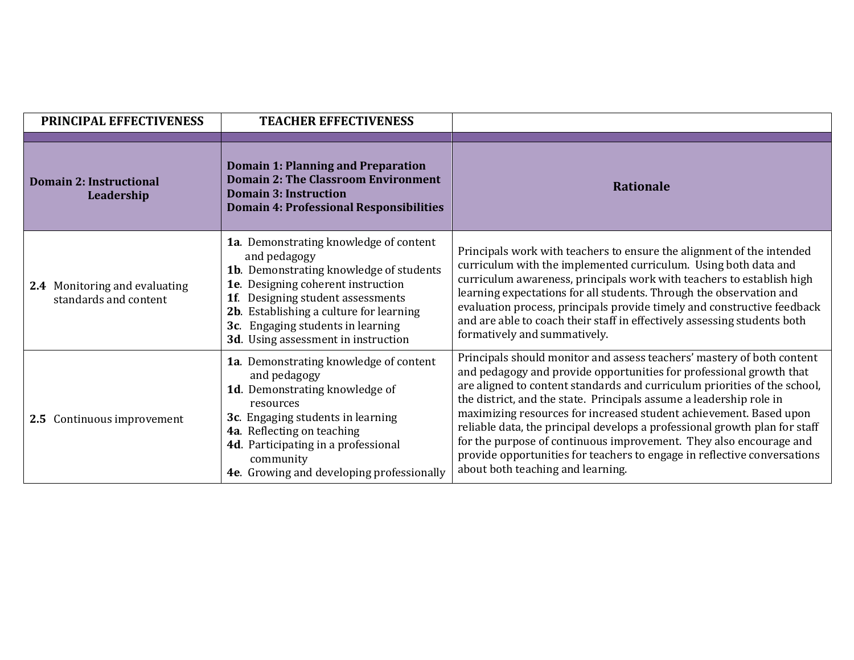| <b>PRINCIPAL EFFECTIVENESS</b>                         | <b>TEACHER EFFECTIVENESS</b>                                                                                                                                                                                                                                                                           |                                                                                                                                                                                                                                                                                                                                                                                                                                                                                                                                                                                                                                              |
|--------------------------------------------------------|--------------------------------------------------------------------------------------------------------------------------------------------------------------------------------------------------------------------------------------------------------------------------------------------------------|----------------------------------------------------------------------------------------------------------------------------------------------------------------------------------------------------------------------------------------------------------------------------------------------------------------------------------------------------------------------------------------------------------------------------------------------------------------------------------------------------------------------------------------------------------------------------------------------------------------------------------------------|
| <b>Domain 2: Instructional</b><br>Leadership           | <b>Domain 1: Planning and Preparation</b><br><b>Domain 2: The Classroom Environment</b><br><b>Domain 3: Instruction</b><br><b>Domain 4: Professional Responsibilities</b>                                                                                                                              | <b>Rationale</b>                                                                                                                                                                                                                                                                                                                                                                                                                                                                                                                                                                                                                             |
| 2.4 Monitoring and evaluating<br>standards and content | 1a. Demonstrating knowledge of content<br>and pedagogy<br>1b. Demonstrating knowledge of students<br>1e. Designing coherent instruction<br>Designing student assessments<br>1f.<br>2b. Establishing a culture for learning<br>3c. Engaging students in learning<br>3d. Using assessment in instruction | Principals work with teachers to ensure the alignment of the intended<br>curriculum with the implemented curriculum. Using both data and<br>curriculum awareness, principals work with teachers to establish high<br>learning expectations for all students. Through the observation and<br>evaluation process, principals provide timely and constructive feedback<br>and are able to coach their staff in effectively assessing students both<br>formatively and summatively.                                                                                                                                                              |
| 2.5 Continuous improvement                             | 1a. Demonstrating knowledge of content<br>and pedagogy<br>1d. Demonstrating knowledge of<br>resources<br>3c. Engaging students in learning<br>4a. Reflecting on teaching<br>4d. Participating in a professional<br>community<br>4e. Growing and developing professionally                              | Principals should monitor and assess teachers' mastery of both content<br>and pedagogy and provide opportunities for professional growth that<br>are aligned to content standards and curriculum priorities of the school,<br>the district, and the state. Principals assume a leadership role in<br>maximizing resources for increased student achievement. Based upon<br>reliable data, the principal develops a professional growth plan for staff<br>for the purpose of continuous improvement. They also encourage and<br>provide opportunities for teachers to engage in reflective conversations<br>about both teaching and learning. |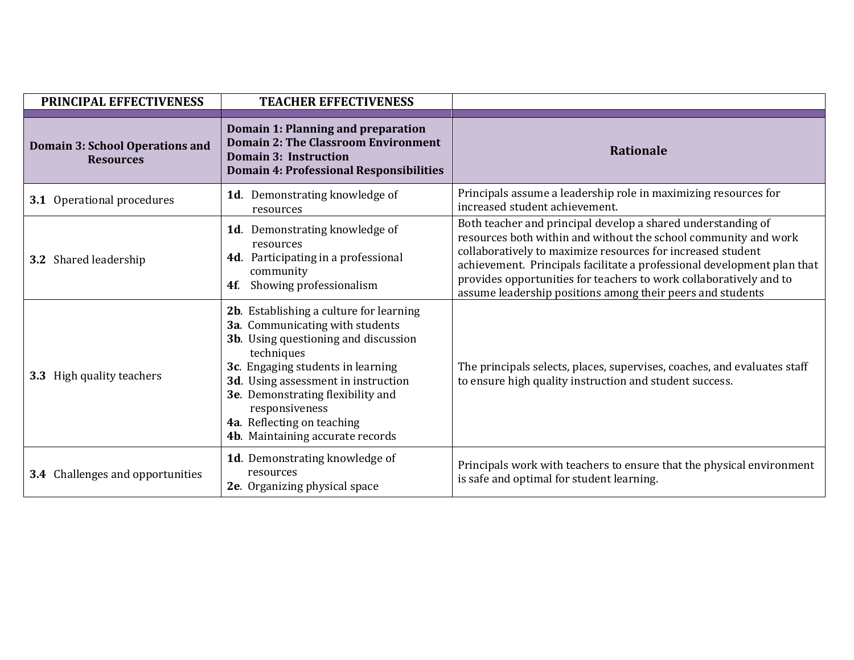| PRINCIPAL EFFECTIVENESS                                    | <b>TEACHER EFFECTIVENESS</b>                                                                                                                                                                                                                                                                                                          |                                                                                                                                                                                                                                                                                                                                                                                                               |
|------------------------------------------------------------|---------------------------------------------------------------------------------------------------------------------------------------------------------------------------------------------------------------------------------------------------------------------------------------------------------------------------------------|---------------------------------------------------------------------------------------------------------------------------------------------------------------------------------------------------------------------------------------------------------------------------------------------------------------------------------------------------------------------------------------------------------------|
| <b>Domain 3: School Operations and</b><br><b>Resources</b> | Domain 1: Planning and preparation<br><b>Domain 2: The Classroom Environment</b><br><b>Domain 3: Instruction</b><br><b>Domain 4: Professional Responsibilities</b>                                                                                                                                                                    | <b>Rationale</b>                                                                                                                                                                                                                                                                                                                                                                                              |
| <b>3.1</b> Operational procedures                          | 1d. Demonstrating knowledge of<br>resources                                                                                                                                                                                                                                                                                           | Principals assume a leadership role in maximizing resources for<br>increased student achievement.                                                                                                                                                                                                                                                                                                             |
| <b>3.2</b> Shared leadership                               | 1d. Demonstrating knowledge of<br>resources<br>4d. Participating in a professional<br>community<br>Showing professionalism<br><b>4f.</b>                                                                                                                                                                                              | Both teacher and principal develop a shared understanding of<br>resources both within and without the school community and work<br>collaboratively to maximize resources for increased student<br>achievement. Principals facilitate a professional development plan that<br>provides opportunities for teachers to work collaboratively and to<br>assume leadership positions among their peers and students |
| 3.3 High quality teachers                                  | 2b. Establishing a culture for learning<br>3a. Communicating with students<br>3b. Using questioning and discussion<br>techniques<br>3c. Engaging students in learning<br>3d. Using assessment in instruction<br>3e. Demonstrating flexibility and<br>responsiveness<br>4a. Reflecting on teaching<br>4b. Maintaining accurate records | The principals selects, places, supervises, coaches, and evaluates staff<br>to ensure high quality instruction and student success.                                                                                                                                                                                                                                                                           |
| <b>3.4</b> Challenges and opportunities                    | 1d. Demonstrating knowledge of<br>resources<br>2e. Organizing physical space                                                                                                                                                                                                                                                          | Principals work with teachers to ensure that the physical environment<br>is safe and optimal for student learning.                                                                                                                                                                                                                                                                                            |